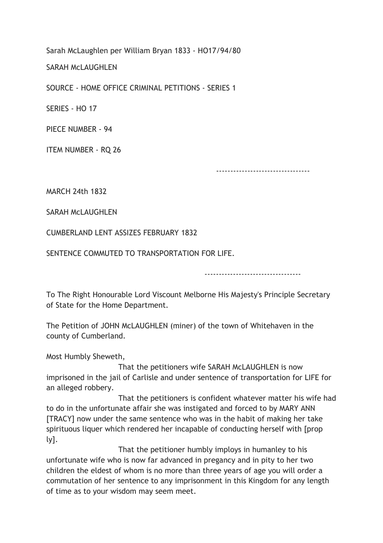Sarah McLaughlen per William Bryan 1833 - HO17/94/80

SARAH McLAUGHLEN

SOURCE - HOME OFFICE CRIMINAL PETITIONS - SERIES 1

SERIES - HO 17

PIECE NUMBER - 94

ITEM NUMBER - RQ 26

---------------------------------

MARCH 24th 1832

SARAH MCLAUGHLEN

CUMBERLAND LENT ASSIZES FEBRUARY 1832

SENTENCE COMMUTED TO TRANSPORTATION FOR LIFE.

----------------------------------

To The Right Honourable Lord Viscount Melborne His Majesty's Principle Secretary of State for the Home Department.

The Petition of JOHN McLAUGHLEN (miner) of the town of Whitehaven in the county of Cumberland.

Most Humbly Sheweth,

 That the petitioners wife SARAH McLAUGHLEN is now imprisoned in the jail of Carlisle and under sentence of transportation for LIFE for an alleged robbery.

 That the petitioners is confident whatever matter his wife had to do in the unfortunate affair she was instigated and forced to by MARY ANN [TRACY] now under the same sentence who was in the habit of making her take spirituous liquer which rendered her incapable of conducting herself with [prop ly].

 That the petitioner humbly imploys in humanley to his unfortunate wife who is now far advanced in pregancy and in pity to her two children the eldest of whom is no more than three years of age you will order a commutation of her sentence to any imprisonment in this Kingdom for any length of time as to your wisdom may seem meet.